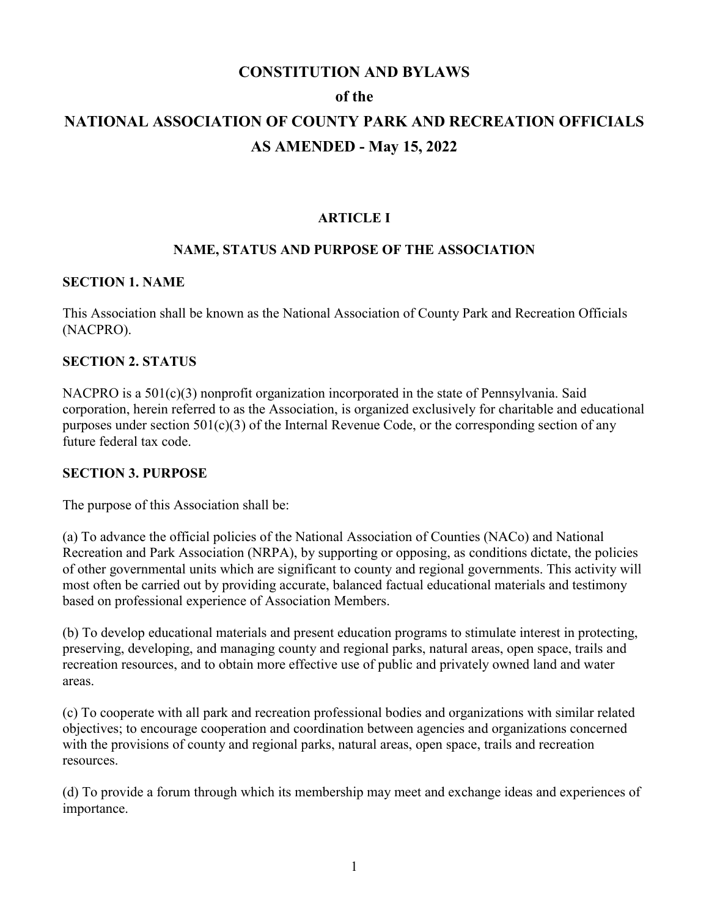# **CONSTITUTION AND BYLAWS of the NATIONAL ASSOCIATION OF COUNTY PARK AND RECREATION OFFICIALS AS AMENDED - May 15, 2022**

### **ARTICLE I**

### **NAME, STATUS AND PURPOSE OF THE ASSOCIATION**

#### **SECTION 1. NAME**

This Association shall be known as the National Association of County Park and Recreation Officials (NACPRO).

#### **SECTION 2. STATUS**

NACPRO is a 501(c)(3) nonprofit organization incorporated in the state of Pennsylvania. Said corporation, herein referred to as the Association, is organized exclusively for charitable and educational purposes under section 501(c)(3) of the Internal Revenue Code, or the corresponding section of any future federal tax code.

#### **SECTION 3. PURPOSE**

The purpose of this Association shall be:

(a) To advance the official policies of the National Association of Counties (NACo) and National Recreation and Park Association (NRPA), by supporting or opposing, as conditions dictate, the policies of other governmental units which are significant to county and regional governments. This activity will most often be carried out by providing accurate, balanced factual educational materials and testimony based on professional experience of Association Members.

(b) To develop educational materials and present education programs to stimulate interest in protecting, preserving, developing, and managing county and regional parks, natural areas, open space, trails and recreation resources, and to obtain more effective use of public and privately owned land and water areas.

(c) To cooperate with all park and recreation professional bodies and organizations with similar related objectives; to encourage cooperation and coordination between agencies and organizations concerned with the provisions of county and regional parks, natural areas, open space, trails and recreation resources.

(d) To provide a forum through which its membership may meet and exchange ideas and experiences of importance.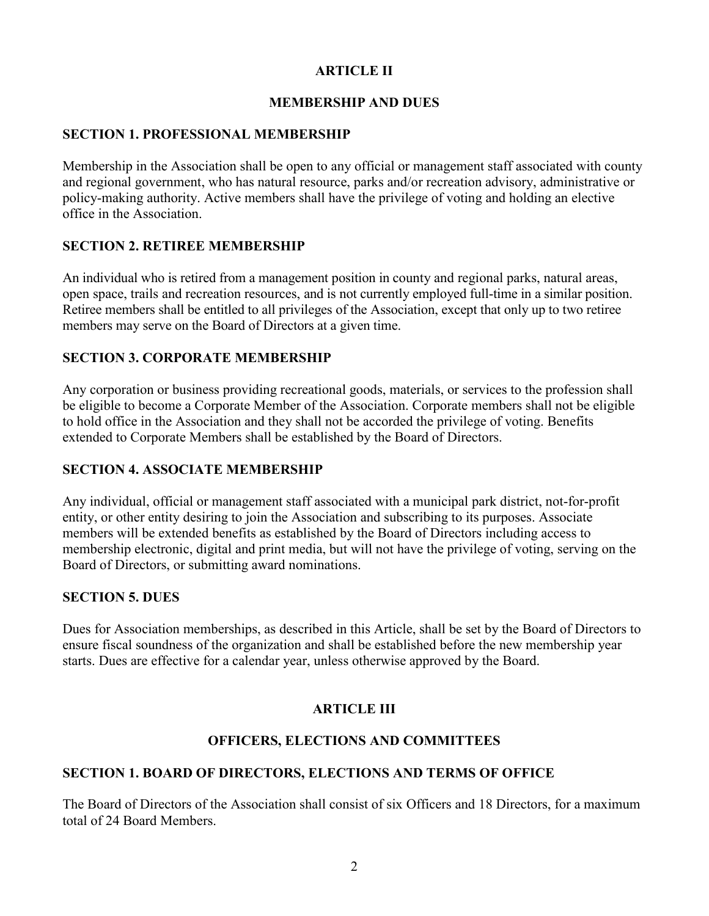# **ARTICLE II**

### **MEMBERSHIP AND DUES**

### **SECTION 1. PROFESSIONAL MEMBERSHIP**

Membership in the Association shall be open to any official or management staff associated with county and regional government, who has natural resource, parks and/or recreation advisory, administrative or policy-making authority. Active members shall have the privilege of voting and holding an elective office in the Association.

# **SECTION 2. RETIREE MEMBERSHIP**

An individual who is retired from a management position in county and regional parks, natural areas, open space, trails and recreation resources, and is not currently employed full-time in a similar position. Retiree members shall be entitled to all privileges of the Association, except that only up to two retiree members may serve on the Board of Directors at a given time.

# **SECTION 3. CORPORATE MEMBERSHIP**

Any corporation or business providing recreational goods, materials, or services to the profession shall be eligible to become a Corporate Member of the Association. Corporate members shall not be eligible to hold office in the Association and they shall not be accorded the privilege of voting. Benefits extended to Corporate Members shall be established by the Board of Directors.

# **SECTION 4. ASSOCIATE MEMBERSHIP**

Any individual, official or management staff associated with a municipal park district, not-for-profit entity, or other entity desiring to join the Association and subscribing to its purposes. Associate members will be extended benefits as established by the Board of Directors including access to membership electronic, digital and print media, but will not have the privilege of voting, serving on the Board of Directors, or submitting award nominations.

# **SECTION 5. DUES**

Dues for Association memberships, as described in this Article, shall be set by the Board of Directors to ensure fiscal soundness of the organization and shall be established before the new membership year starts. Dues are effective for a calendar year, unless otherwise approved by the Board.

# **ARTICLE III**

# **OFFICERS, ELECTIONS AND COMMITTEES**

# **SECTION 1. BOARD OF DIRECTORS, ELECTIONS AND TERMS OF OFFICE**

The Board of Directors of the Association shall consist of six Officers and 18 Directors, for a maximum total of 24 Board Members.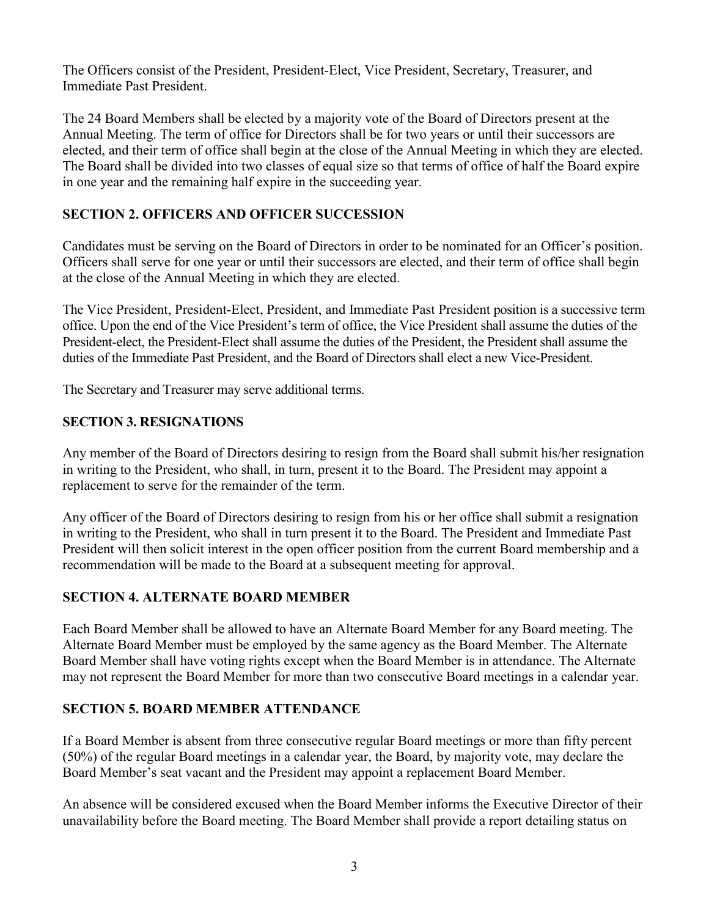The Officers consist of the President, President-Elect, Vice President, Secretary, Treasurer, and Immediate Past President.

The 24 Board Members shall be elected by a majority vote of the Board of Directors present at the Annual Meeting. The term of office for Directors shall be for two years or until their successors are elected, and their term of office shall begin at the close of the Annual Meeting in which they are elected. The Board shall be divided into two classes of equal size so that terms of office of half the Board expire in one year and the remaining half expire in the succeeding year.

# **SECTION 2. OFFICERS AND OFFICER SUCCESSION**

Candidates must be serving on the Board of Directors in order to be nominated for an Officer's position. Officers shall serve for one year or until their successors are elected, and their term of office shall begin at the close of the Annual Meeting in which they are elected.

The Vice President, President-Elect, President, and Immediate Past President position is a successive term office. Upon the end of the Vice President's term of office, the Vice President shall assume the duties of the President-elect, the President-Elect shall assume the duties of the President, the President shall assume the duties of the Immediate Past President, and the Board of Directors shall elect a new Vice-President.

The Secretary and Treasurer may serve additional terms.

# **SECTION 3. RESIGNATIONS**

Any member of the Board of Directors desiring to resign from the Board shall submit his/her resignation in writing to the President, who shall, in turn, present it to the Board. The President may appoint a replacement to serve for the remainder of the term.

Any officer of the Board of Directors desiring to resign from his or her office shall submit a resignation in writing to the President, who shall in turn present it to the Board. The President and Immediate Past President will then solicit interest in the open officer position from the current Board membership and a recommendation will be made to the Board at a subsequent meeting for approval.

# **SECTION 4. ALTERNATE BOARD MEMBER**

Each Board Member shall be allowed to have an Alternate Board Member for any Board meeting. The Alternate Board Member must be employed by the same agency as the Board Member. The Alternate Board Member shall have voting rights except when the Board Member is in attendance. The Alternate may not represent the Board Member for more than two consecutive Board meetings in a calendar year.

# **SECTION 5. BOARD MEMBER ATTENDANCE**

If a Board Member is absent from three consecutive regular Board meetings or more than fifty percent (50%) of the regular Board meetings in a calendar year, the Board, by majority vote, may declare the Board Member's seat vacant and the President may appoint a replacement Board Member.

An absence will be considered excused when the Board Member informs the Executive Director of their unavailability before the Board meeting. The Board Member shall provide a report detailing status on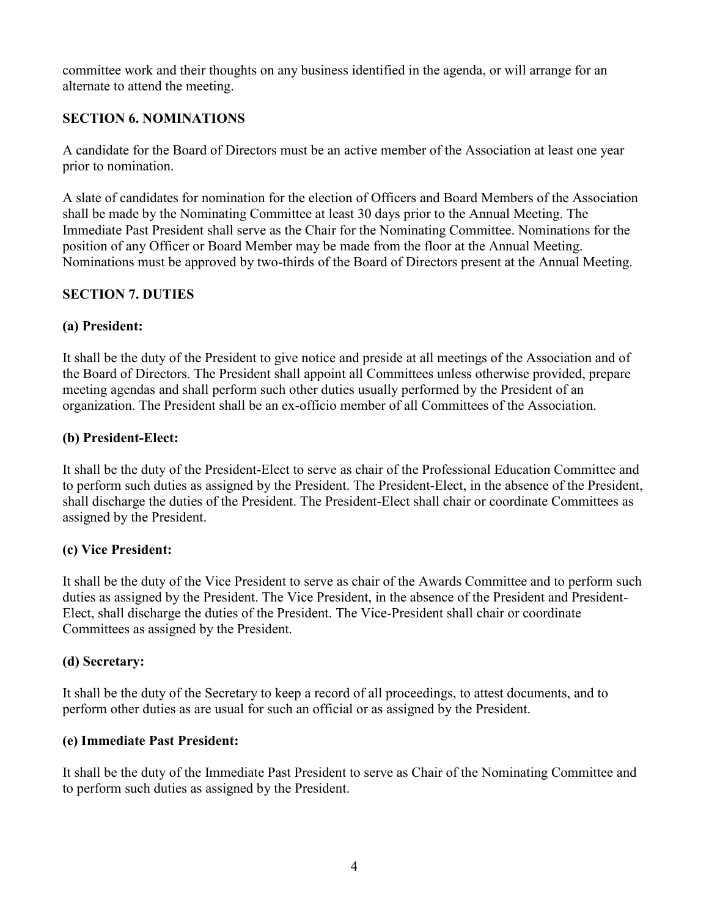committee work and their thoughts on any business identified in the agenda, or will arrange for an alternate to attend the meeting.

# **SECTION 6. NOMINATIONS**

A candidate for the Board of Directors must be an active member of the Association at least one year prior to nomination.

A slate of candidates for nomination for the election of Officers and Board Members of the Association shall be made by the Nominating Committee at least 30 days prior to the Annual Meeting. The Immediate Past President shall serve as the Chair for the Nominating Committee. Nominations for the position of any Officer or Board Member may be made from the floor at the Annual Meeting. Nominations must be approved by two-thirds of the Board of Directors present at the Annual Meeting.

# **SECTION 7. DUTIES**

# **(a) President:**

It shall be the duty of the President to give notice and preside at all meetings of the Association and of the Board of Directors. The President shall appoint all Committees unless otherwise provided, prepare meeting agendas and shall perform such other duties usually performed by the President of an organization. The President shall be an ex-officio member of all Committees of the Association.

# **(b) President-Elect:**

It shall be the duty of the President-Elect to serve as chair of the Professional Education Committee and to perform such duties as assigned by the President. The President-Elect, in the absence of the President, shall discharge the duties of the President. The President-Elect shall chair or coordinate Committees as assigned by the President.

# **(c) Vice President:**

It shall be the duty of the Vice President to serve as chair of the Awards Committee and to perform such duties as assigned by the President. The Vice President, in the absence of the President and President-Elect, shall discharge the duties of the President. The Vice-President shall chair or coordinate Committees as assigned by the President.

# **(d) Secretary:**

It shall be the duty of the Secretary to keep a record of all proceedings, to attest documents, and to perform other duties as are usual for such an official or as assigned by the President.

# **(e) Immediate Past President:**

It shall be the duty of the Immediate Past President to serve as Chair of the Nominating Committee and to perform such duties as assigned by the President.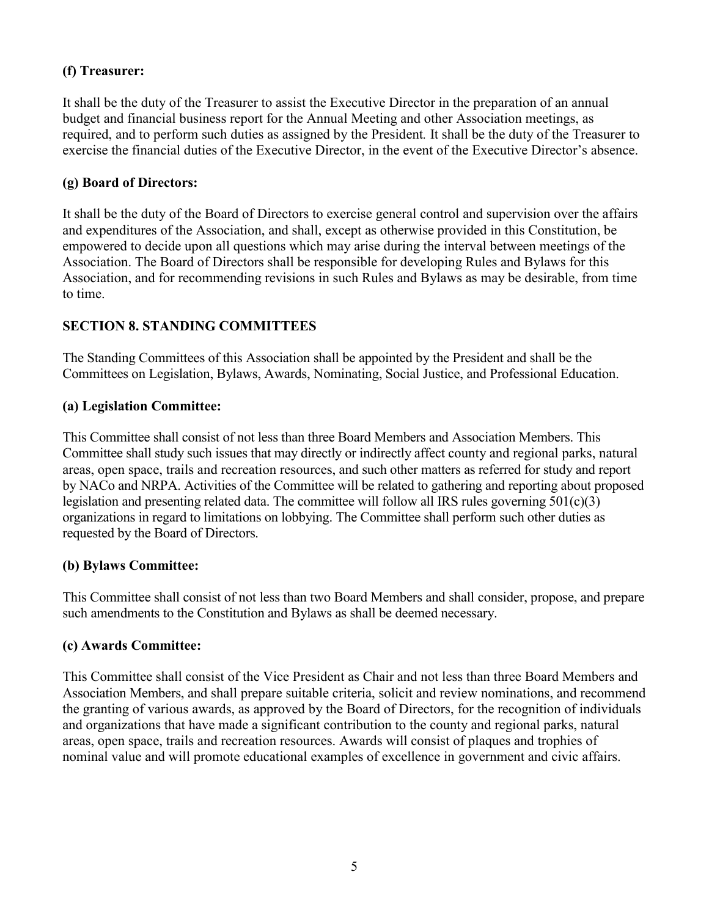# **(f) Treasurer:**

It shall be the duty of the Treasurer to assist the Executive Director in the preparation of an annual budget and financial business report for the Annual Meeting and other Association meetings, as required, and to perform such duties as assigned by the President*.* It shall be the duty of the Treasurer to exercise the financial duties of the Executive Director, in the event of the Executive Director's absence.

# **(g) Board of Directors:**

It shall be the duty of the Board of Directors to exercise general control and supervision over the affairs and expenditures of the Association, and shall, except as otherwise provided in this Constitution, be empowered to decide upon all questions which may arise during the interval between meetings of the Association. The Board of Directors shall be responsible for developing Rules and Bylaws for this Association, and for recommending revisions in such Rules and Bylaws as may be desirable, from time to time.

# **SECTION 8. STANDING COMMITTEES**

The Standing Committees of this Association shall be appointed by the President and shall be the Committees on Legislation, Bylaws, Awards, Nominating, Social Justice, and Professional Education.

# **(a) Legislation Committee:**

This Committee shall consist of not less than three Board Members and Association Members. This Committee shall study such issues that may directly or indirectly affect county and regional parks, natural areas, open space, trails and recreation resources, and such other matters as referred for study and report by NACo and NRPA. Activities of the Committee will be related to gathering and reporting about proposed legislation and presenting related data. The committee will follow all IRS rules governing 501(c)(3) organizations in regard to limitations on lobbying. The Committee shall perform such other duties as requested by the Board of Directors.

# **(b) Bylaws Committee:**

This Committee shall consist of not less than two Board Members and shall consider, propose, and prepare such amendments to the Constitution and Bylaws as shall be deemed necessary.

# **(c) Awards Committee:**

This Committee shall consist of the Vice President as Chair and not less than three Board Members and Association Members, and shall prepare suitable criteria, solicit and review nominations, and recommend the granting of various awards, as approved by the Board of Directors, for the recognition of individuals and organizations that have made a significant contribution to the county and regional parks, natural areas, open space, trails and recreation resources. Awards will consist of plaques and trophies of nominal value and will promote educational examples of excellence in government and civic affairs.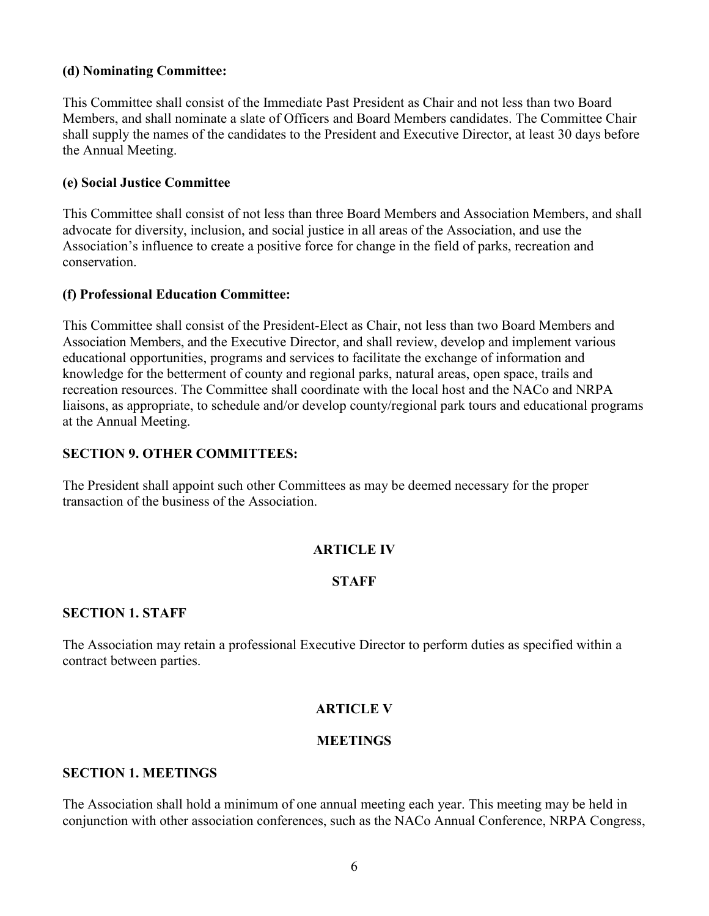### **(d) Nominating Committee:**

This Committee shall consist of the Immediate Past President as Chair and not less than two Board Members, and shall nominate a slate of Officers and Board Members candidates. The Committee Chair shall supply the names of the candidates to the President and Executive Director, at least 30 days before the Annual Meeting.

#### **(e) Social Justice Committee**

This Committee shall consist of not less than three Board Members and Association Members, and shall advocate for diversity, inclusion, and social justice in all areas of the Association, and use the Association's influence to create a positive force for change in the field of parks, recreation and conservation.

#### **(f) Professional Education Committee:**

This Committee shall consist of the President-Elect as Chair, not less than two Board Members and Association Members, and the Executive Director, and shall review, develop and implement various educational opportunities, programs and services to facilitate the exchange of information and knowledge for the betterment of county and regional parks, natural areas, open space, trails and recreation resources. The Committee shall coordinate with the local host and the NACo and NRPA liaisons, as appropriate, to schedule and/or develop county/regional park tours and educational programs at the Annual Meeting.

### **SECTION 9. OTHER COMMITTEES:**

The President shall appoint such other Committees as may be deemed necessary for the proper transaction of the business of the Association.

### **ARTICLE IV**

### **STAFF**

#### **SECTION 1. STAFF**

The Association may retain a professional Executive Director to perform duties as specified within a contract between parties.

### **ARTICLE V**

### **MEETINGS**

#### **SECTION 1. MEETINGS**

The Association shall hold a minimum of one annual meeting each year. This meeting may be held in conjunction with other association conferences, such as the NACo Annual Conference, NRPA Congress,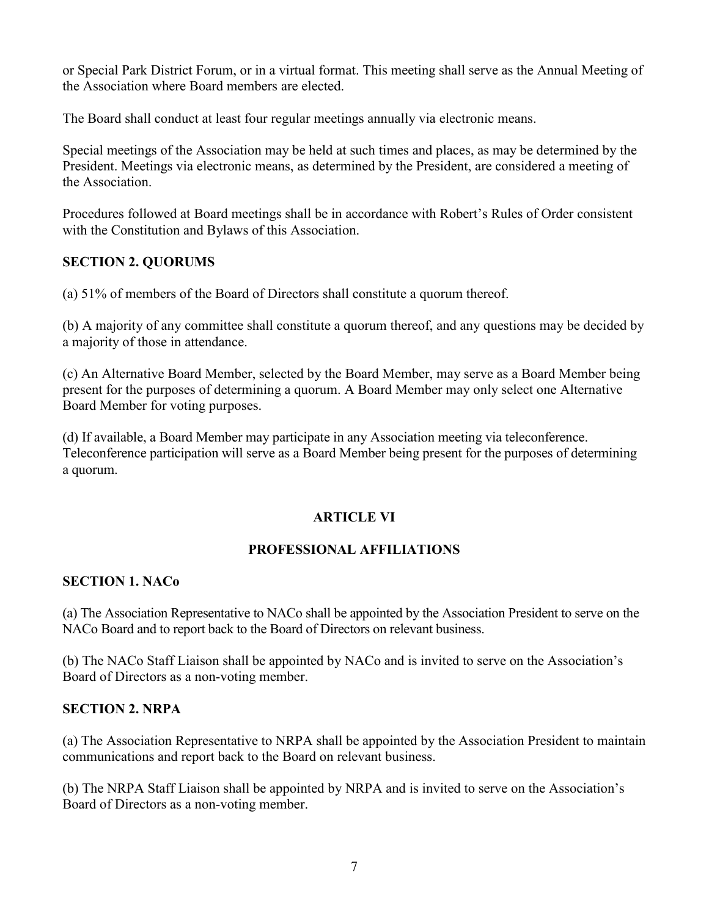or Special Park District Forum, or in a virtual format. This meeting shall serve as the Annual Meeting of the Association where Board members are elected.

The Board shall conduct at least four regular meetings annually via electronic means.

Special meetings of the Association may be held at such times and places, as may be determined by the President. Meetings via electronic means, as determined by the President, are considered a meeting of the Association.

Procedures followed at Board meetings shall be in accordance with Robert's Rules of Order consistent with the Constitution and Bylaws of this Association.

# **SECTION 2. QUORUMS**

(a) 51% of members of the Board of Directors shall constitute a quorum thereof.

(b) A majority of any committee shall constitute a quorum thereof, and any questions may be decided by a majority of those in attendance.

(c) An Alternative Board Member, selected by the Board Member, may serve as a Board Member being present for the purposes of determining a quorum. A Board Member may only select one Alternative Board Member for voting purposes.

(d) If available, a Board Member may participate in any Association meeting via teleconference. Teleconference participation will serve as a Board Member being present for the purposes of determining a quorum.

# **ARTICLE VI**

# **PROFESSIONAL AFFILIATIONS**

# **SECTION 1. NACo**

(a) The Association Representative to NACo shall be appointed by the Association President to serve on the NACo Board and to report back to the Board of Directors on relevant business.

(b) The NACo Staff Liaison shall be appointed by NACo and is invited to serve on the Association's Board of Directors as a non-voting member.

# **SECTION 2. NRPA**

(a) The Association Representative to NRPA shall be appointed by the Association President to maintain communications and report back to the Board on relevant business.

(b) The NRPA Staff Liaison shall be appointed by NRPA and is invited to serve on the Association's Board of Directors as a non-voting member.